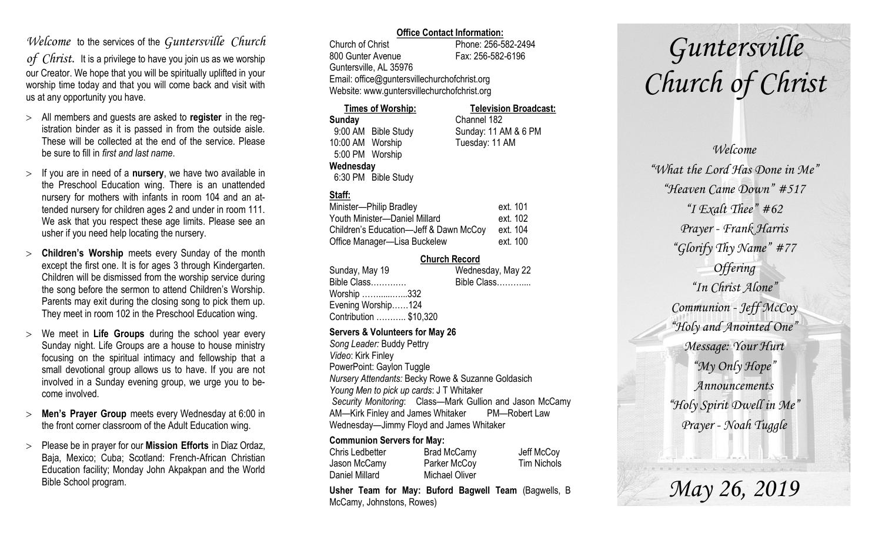## *Welcome* to the services of the *Guntersville Church*

*of Christ*. It is a privilege to have you join us as we worship our Creator. We hope that you will be spiritually uplifted in your worship time today and that you will come back and visit with us at any opportunity you have.

- All members and guests are asked to **register** in the registration binder as it is passed in from the outside aisle. These will be collected at the end of the service. Please be sure to fill in *first and last name*.
- $>$  If you are in need of a **nursery**, we have two available in the Preschool Education wing. There is an unattended nursery for mothers with infants in room 104 and an attended nursery for children ages 2 and under in room 111. We ask that you respect these age limits. Please see an usher if you need help locating the nursery.
- **Children's Worship** meets every Sunday of the month except the first one. It is for ages 3 through Kindergarten. Children will be dismissed from the worship service during the song before the sermon to attend Children's Worship. Parents may exit during the closing song to pick them up. They meet in room 102 in the Preschool Education wing.
- We meet in **Life Groups** during the school year every Sunday night. Life Groups are a house to house ministry focusing on the spiritual intimacy and fellowship that a small devotional group allows us to have. If you are not involved in a Sunday evening group, we urge you to become involved.
- **Men's Prayer Group** meets every Wednesday at 6:00 in the front corner classroom of the Adult Education wing.
- Please be in prayer for our **Mission Efforts** in Diaz Ordaz, Baja, Mexico; Cuba; Scotland: French-African Christian Education facility; Monday John Akpakpan and the World Bible School program.

## **Office Contact Information:**

Church of Christ Phone: 256-582-2494 800 Gunter Avenue Fax: 256-582-6196 Guntersville, AL 35976 Email: office@guntersvillechurchofchrist.org Website: www.guntersvillechurchofchrist.org

| <b>Times of Worship:</b> |                     | <b>Television Broadcast:</b> |  |
|--------------------------|---------------------|------------------------------|--|
| Sunday                   |                     | Channel 182                  |  |
|                          | 9:00 AM Bible Study | Sunday: 11 AM & 6 PM         |  |
| 10:00 AM Worship         |                     | Tuesday: 11 AM               |  |
| 5:00 PM Worship          |                     |                              |  |
| Wednesday                |                     |                              |  |
|                          | 6:30 PM Bible Study |                              |  |

## **Staff:**

| Minister-Philip Bradley                | ext. 101 |
|----------------------------------------|----------|
| Youth Minister-Daniel Millard          | ext. 102 |
| Children's Education-Jeff & Dawn McCoy | ext. 104 |
| Office Manager-Lisa Buckelew           | ext. 100 |

### **Church Record**

| Sunday, May 19         | Wednesday, May 22 |
|------------------------|-------------------|
| Bible Class            | Bible Class       |
| Worship 332            |                   |
| Evening Worship124     |                   |
| Contribution  \$10,320 |                   |
|                        |                   |

#### **Servers & Volunteers for May 26**

*Song Leader:* Buddy Pettry *Video*: Kirk Finley PowerPoint: Gaylon Tuggle *Nursery Attendants:* Becky Rowe & Suzanne Goldasich *Young Men to pick up cards*: J T Whitaker *Security Monitoring*: Class—Mark Gullion and Jason McCamy AM—Kirk Finley and James Whitaker PM—Robert Law Wednesday—Jimmy Floyd and James Whitaker

## **Communion Servers for May:**

| Chris Ledbetter | Brad McCamy    | Jeff McCoy         |
|-----------------|----------------|--------------------|
| Jason McCamy    | Parker McCoy   | <b>Tim Nichols</b> |
| Daniel Millard  | Michael Oliver |                    |

**Usher Team for May: Buford Bagwell Team** (Bagwells, B McCamy, Johnstons, Rowes)

# *Guntersville Church of Christ*

*Welcome "What the Lord Has Done in Me" "Heaven Came Down" #517 "I Exalt Thee" #62 Prayer - Frank Harris "Glorify Thy Name" #77 Offering "In Christ Alone" Communion - Jeff McCoy "Holy and Anointed One" Message: Your Hurt "My Only Hope" Announcements "Holy Spirit Dwell in Me" Prayer - Noah Tuggle*

*May 26, 2019*